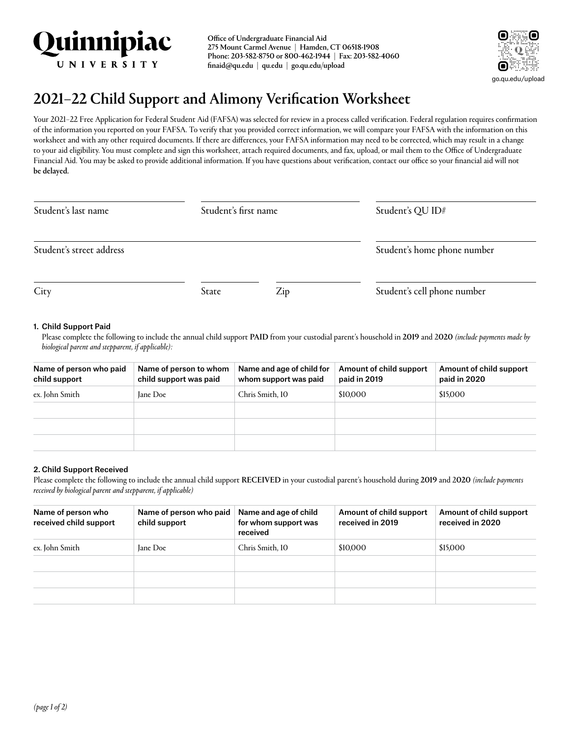

Office of Undergraduate Financial Aid 275 Mount Carmel Avenue | Hamden, CT 06518-1908 Phone: 203-582-8750 or 800-462-1944 | Fax: 203-582-4060 [finaid@qu.edu](mailto:finaid@quinnipiac.edu) | [qu.edu](http://qu.edu) | [go.qu.edu/upload](http://go.qu.edu/upload)



# 2021–22 Child Support and Alimony Verification Worksheet

Your 2021-22 Free Application for Federal Student Aid (FAFSA) was selected for review in a process called verification. Federal regulation requires confirmation of the information you reported on your FAFSA. To verify that you provided correct information, we will compare your FAFSA with the information on this worksheet and with any other required documents. If there are differences, your FAFSA information may need to be corrected, which may result in a change to your aid eligibility. You must complete and sign this worksheet, attach required documents, and fax, upload, or mail them to the Office of Undergraduate Financial Aid. You may be asked to provide additional information. If you have questions about verification, contact our office so your financial aid will not be delayed.

| Student's last name      | Student's first name |     | Student's QU ID#            |
|--------------------------|----------------------|-----|-----------------------------|
| Student's street address |                      |     | Student's home phone number |
| City                     | State                | Zip | Student's cell phone number |

### 1. Child Support Paid

Please complete the following to include the annual child support PAID from your custodial parent's household in 2019 and 2020 *(include payments made by biological parent and stepparent, if applicable):*

| Name of person who paid<br>child support | Name of person to whom<br>child support was paid | Name and age of child for<br>whom support was paid | Amount of child support<br>paid in 2019 | Amount of child support<br>paid in 2020 |
|------------------------------------------|--------------------------------------------------|----------------------------------------------------|-----------------------------------------|-----------------------------------------|
| ex. John Smith                           | Jane Doe                                         | Chris Smith, 10                                    | \$10,000                                | \$15,000                                |
|                                          |                                                  |                                                    |                                         |                                         |
|                                          |                                                  |                                                    |                                         |                                         |
|                                          |                                                  |                                                    |                                         |                                         |

## 2. Child Support Received

Please complete the following to include the annual child support RECEIVED in your custodial parent's household during 2019 and 2020 *(include payments received by biological parent and stepparent, if applicable)*

| Name of person who<br>received child support | Name of person who paid<br>child support | Name and age of child<br>for whom support was<br>received | Amount of child support<br>received in 2019 | Amount of child support<br>received in 2020 |
|----------------------------------------------|------------------------------------------|-----------------------------------------------------------|---------------------------------------------|---------------------------------------------|
| ex. John Smith                               | Jane Doe                                 | Chris Smith, 10                                           | \$10,000                                    | \$15,000                                    |
|                                              |                                          |                                                           |                                             |                                             |
|                                              |                                          |                                                           |                                             |                                             |
|                                              |                                          |                                                           |                                             |                                             |